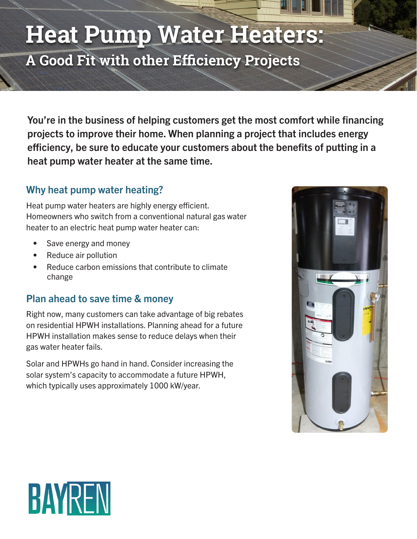# **Heat Pump Water Heaters:**

**A Good Fit with other Efficiency Projects**

You're in the business of helping customers get the most comfort while financing projects to improve their home. When planning a project that includes energy efficiency, be sure to educate your customers about the benefits of putting in a heat pump water heater at the same time.

### Why heat pump water heating?

Heat pump water heaters are highly energy efficient. Homeowners who switch from a conventional natural gas water heater to an electric heat pump water heater can:

- Save energy and money
- Reduce air pollution
- Reduce carbon emissions that contribute to climate change

## Plan ahead to save time & money

Right now, many customers can take advantage of big rebates on residential HPWH installations. Planning ahead for a future HPWH installation makes sense to reduce delays when their gas water heater fails.

Solar and HPWHs go hand in hand. Consider increasing the solar system's capacity to accommodate a future HPWH, which typically uses approximately 1000 kW/year.